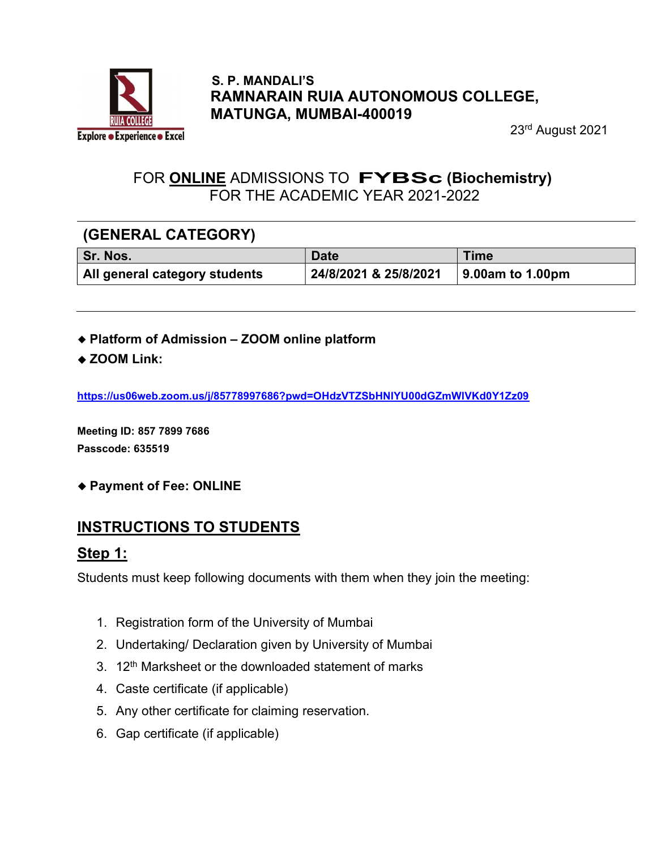

#### S. P. MANDALI'S RAMNARAIN RUIA AUTONOMOUS COLLEGE, MATUNGA, MUMBAI-400019

23rd August 2021

### FOR ONLINE ADMISSIONS TO FYBSc (Biochemistry) FOR THE ACADEMIC YEAR 2021-2022

### (GENERAL CATEGORY)

| Sr. Nos.                      | <b>Date</b>           | <b>Time</b>              |
|-------------------------------|-----------------------|--------------------------|
| All general category students | 24/8/2021 & 25/8/2021 | $\vert$ 9.00am to 1.00pm |

- Platform of Admission ZOOM online platform
- ◆ ZOOM Link:

https://us06web.zoom.us/j/85778997686?pwd=OHdzVTZSbHNlYU00dGZmWlVKd0Y1Zz09

Meeting ID: 857 7899 7686 Passcode: 635519

Payment of Fee: ONLINE

### INSTRUCTIONS TO STUDENTS

### Step 1:

Students must keep following documents with them when they join the meeting:

- 1. Registration form of the University of Mumbai
- 2. Undertaking/ Declaration given by University of Mumbai
- 3.  $12<sup>th</sup>$  Marksheet or the downloaded statement of marks
- 4. Caste certificate (if applicable)
- 5. Any other certificate for claiming reservation.
- 6. Gap certificate (if applicable)